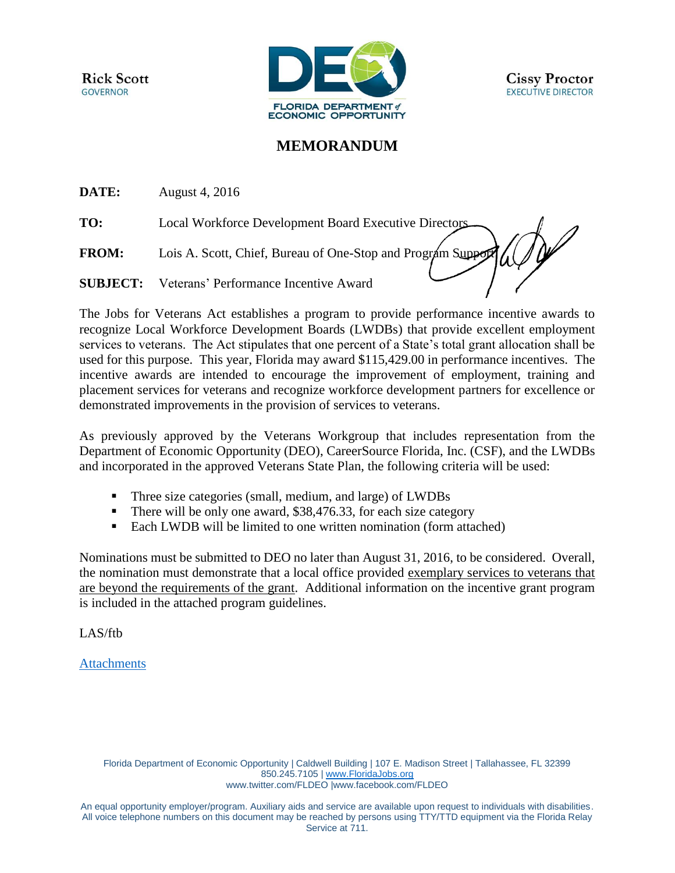**Rick Scott GOVERNOR** 



# **MEMORANDUM**

**DATE:** August 4, 2016

**TO:** Local Workforce Development Board Executive Directors

**FROM:** Lois A. Scott, Chief, Bureau of One-Stop and Program Support

**SUBJECT:** Veterans' Performance Incentive Award

The Jobs for Veterans Act establishes a program to provide performance incentive awards to recognize Local Workforce Development Boards (LWDBs) that provide excellent employment services to veterans. The Act stipulates that one percent of a State's total grant allocation shall be used for this purpose. This year, Florida may award \$115,429.00 in performance incentives. The incentive awards are intended to encourage the improvement of employment, training and placement services for veterans and recognize workforce development partners for excellence or demonstrated improvements in the provision of services to veterans.

As previously approved by the Veterans Workgroup that includes representation from the Department of Economic Opportunity (DEO), CareerSource Florida, Inc. (CSF), and the LWDBs and incorporated in the approved Veterans State Plan, the following criteria will be used:

- Three size categories (small, medium, and large) of LWDBs
- There will be only one award, \$38,476.33, for each size category
- Each LWDB will be limited to one written nomination (form attached)

Nominations must be submitted to DEO no later than August 31, 2016, to be considered. Overall, the nomination must demonstrate that a local office provided exemplary services to veterans that are beyond the requirements of the grant. Additional information on the incentive grant program is included in the attached program guidelines.

LAS/ftb

# [Attachments](http://sitefinity.floridajobs.org/docs/default-source/office-of-workforce-services/vetincntawrds_nomform_rev2016ftb.pdf?sfvrsn=4)

Florida Department of Economic Opportunity | Caldwell Building | 107 E. Madison Street | Tallahassee, FL 32399 850.245.7105 | [www.FloridaJobs.org](http://www.floridajobs.org/) [www.twitter.com/FLDEO](http://www.twitter.com/FLDEO) |www.facebook.com/FLDEO

An equal opportunity employer/program. Auxiliary aids and service are available upon request to individuals with disabilities. All voice telephone numbers on this document may be reached by persons using TTY/TTD equipment via the Florida Relay Service at 711.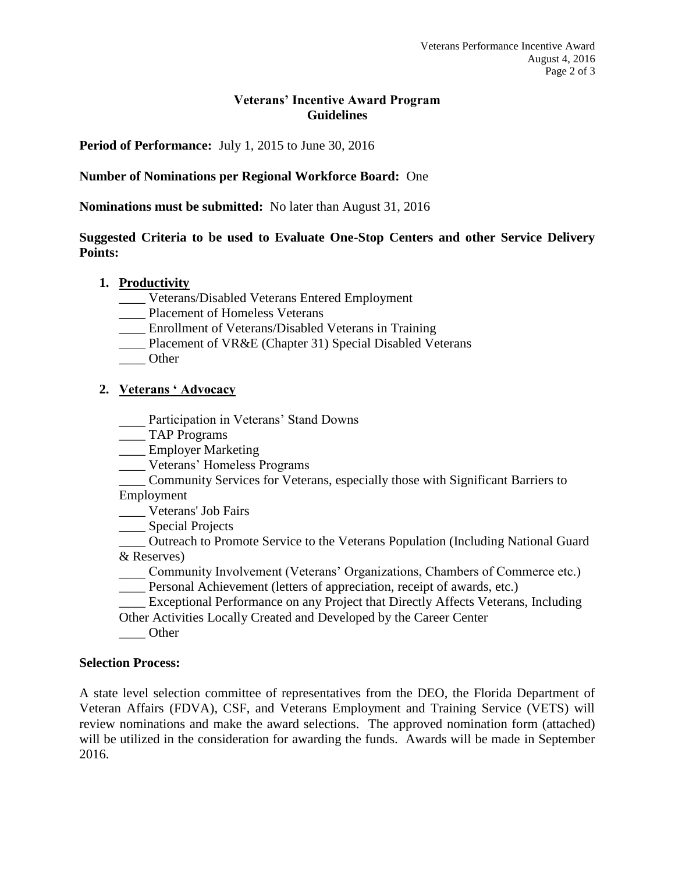## **Veterans' Incentive Award Program Guidelines**

**Period of Performance:** July 1, 2015 to June 30, 2016

## **Number of Nominations per Regional Workforce Board:** One

**Nominations must be submitted:** No later than August 31, 2016

## **Suggested Criteria to be used to Evaluate One-Stop Centers and other Service Delivery Points:**

#### **1. Productivity**

- \_\_\_\_ Veterans/Disabled Veterans Entered Employment
- \_\_\_\_ Placement of Homeless Veterans
- \_\_\_\_ Enrollment of Veterans/Disabled Veterans in Training
- \_\_\_\_ Placement of VR&E (Chapter 31) Special Disabled Veterans
- \_\_\_\_ Other

### **2. Veterans ' Advocacy**

- Participation in Veterans' Stand Downs
- \_\_\_\_ TAP Programs
- \_\_\_\_ Employer Marketing
- \_\_\_\_ Veterans' Homeless Programs
- \_\_\_\_ Community Services for Veterans, especially those with Significant Barriers to Employment

\_\_\_\_ Veterans' Job Fairs

\_\_\_\_ Special Projects

\_\_\_\_ Outreach to Promote Service to the Veterans Population (Including National Guard & Reserves)

- \_\_\_\_ Community Involvement (Veterans' Organizations, Chambers of Commerce etc.)
- \_\_\_\_ Personal Achievement (letters of appreciation, receipt of awards, etc.)

\_\_\_\_ Exceptional Performance on any Project that Directly Affects Veterans, Including Other Activities Locally Created and Developed by the Career Center

\_\_\_\_ Other

#### **Selection Process:**

A state level selection committee of representatives from the DEO, the Florida Department of Veteran Affairs (FDVA), CSF, and Veterans Employment and Training Service (VETS) will review nominations and make the award selections. The approved nomination form (attached) will be utilized in the consideration for awarding the funds. Awards will be made in September 2016.